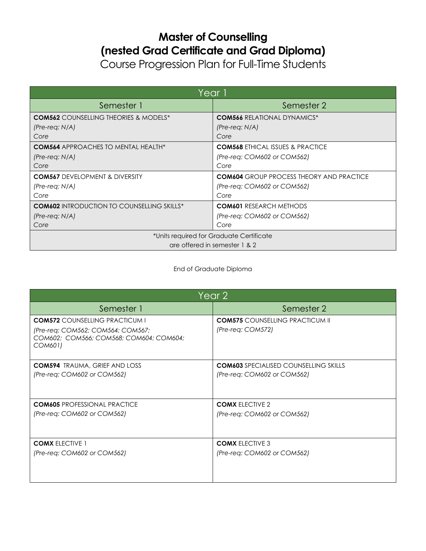## **Master of Counselling (nested Grad Certificate and Grad Diploma)**

Course Progression Plan for Full-Time Students

| Year 1                                            |                                                 |
|---------------------------------------------------|-------------------------------------------------|
| Semester 1                                        | Semester 2                                      |
| <b>COM562</b> COUNSELLING THEORIES & MODELS*      | <b>COM566 RELATIONAL DYNAMICS*</b>              |
| $(Pre-reg: N/A)$                                  | (Pre-reg: N/A)                                  |
| Core                                              | Core                                            |
| <b>COM564</b> APPROACHES TO MENTAL HEALTH*        | <b>COM568 ETHICAL ISSUES &amp; PRACTICE</b>     |
| $(Pre-reg: N/A)$                                  | (Pre-reg: COM602 or COM562)                     |
| Core                                              | Core                                            |
| <b>COM567</b> DEVELOPMENT & DIVERSITY             | <b>COM604</b> GROUP PROCESS THEORY AND PRACTICE |
| $(Pre-reg: N/A)$                                  | (Pre-reg: COM602 or COM562)                     |
| Core                                              | Core                                            |
| <b>COM602</b> INTRODUCTION TO COUNSELLING SKILLS* | <b>COM601 RESEARCH METHODS</b>                  |
| $(Pre-reg: N/A)$                                  | (Pre-reg: COM602 or COM562)                     |
| Core                                              | Core                                            |
| *Units required for Graduate Certificate          |                                                 |
| are offered in semester 1 & 2                     |                                                 |

## End of Graduate Diploma

| Year 2                                                                                  |                                              |
|-----------------------------------------------------------------------------------------|----------------------------------------------|
| Semester 1                                                                              | Semester 2                                   |
| <b>COM572</b> COUNSELLING PRACTICUM I                                                   | <b>COM575 COUNSELLING PRACTICUM II</b>       |
| (Pre-req: COM562; COM564; COM567;<br>COM602; COM566; COM568; COM604; COM604;<br>COM601) | (Pre-req: COM572)                            |
| <b>COM594</b> TRAUMA, GRIEF AND LOSS                                                    | <b>COM603</b> SPECIALISED COUNSELLING SKILLS |
| (Pre-req: COM602 or COM562)                                                             | (Pre-req: COM602 or COM562)                  |
| <b>COM605 PROFESSIONAL PRACTICE</b>                                                     | <b>COMX ELECTIVE 2</b>                       |
| (Pre-req: COM602 or COM562)                                                             | (Pre-req: COM602 or COM562)                  |
| <b>COMX ELECTIVE 1</b>                                                                  | <b>COMX ELECTIVE 3</b>                       |
| (Pre-req: COM602 or COM562)                                                             | (Pre-req: COM602 or COM562)                  |